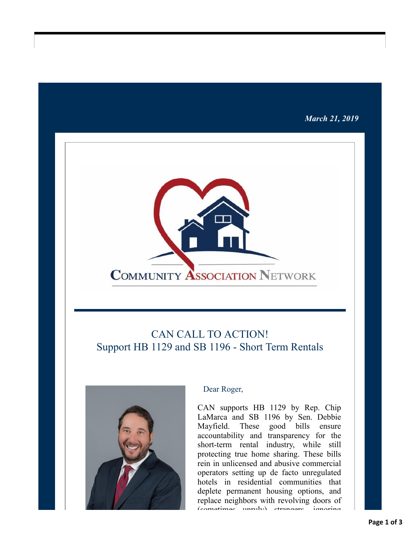## *March 21, 2019*



# CAN CALL TO ACTION! Support HB 1129 and SB 1196 - Short Term Rentals



#### Dear Roger,

CAN supports HB 1129 by Rep. Chip LaMarca and SB 1196 by Sen. Debbie Mayfield. These good bills ensure accountability and transparency for the short-term rental industry, while still protecting true home sharing. These bills rein in unlicensed and abusive commercial operators setting up de facto unregulated hotels in residential communities that deplete permanent housing options, and replace neighbors with revolving doors of (comotimes unruly) strangers, ignoring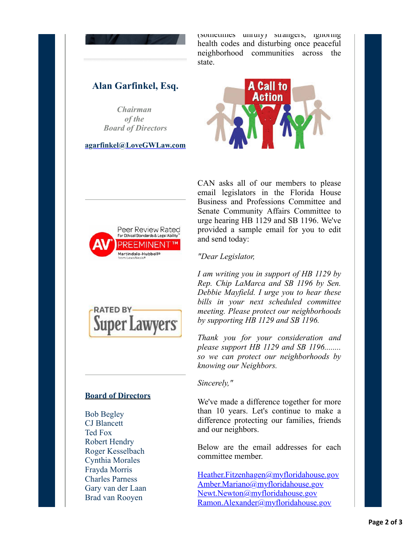

(sometimes unrury) strangers, ignoring health codes and disturbing once peaceful neighborhood communities across the state.

# **Alan Garfinkel, Esq.**

*Chairman of the Board of Directors*

**[agarfinkel@LoveGWLaw.com](mailto:agarfinkel@lovegwlaw.com?subject=CAN%20Alert)**





CAN asks all of our members to please email legislators in the Florida House Business and Professions Committee and Senate Community Affairs Committee to urge hearing HB 1129 and SB 1196. We've provided a sample email for you to edit and send today:

*"Dear Legislator,*

*I am writing you in support of HB 1129 by Rep. Chip LaMarca and SB 1196 by Sen. Debbie Mayfield. I urge you to hear these bills in your next scheduled committee meeting. Please protect our neighborhoods by supporting HB 1129 and SB 1196.*

*Thank you for your consideration and please support HB 1129 and SB 1196........ so we can protect our neighborhoods by knowing our Neighbors.*

*Sincerely,"*

We've made a difference together for more than 10 years. Let's continue to make a difference protecting our families, friends and our neighbors.

Below are the email addresses for each committee member.

[Heather.Fitzenhagen@myfloridahouse.gov](mailto:Heather.Fitzenhagen@myfloridahouse.gov?subject=Support%20HB%201129%20and%20SB%201196) [Amber.Mariano@myfloridahouse.gov](mailto:Amber.Mariano@myfloridahouse.gov?subject=Support%20HB%201129%20and%20SB%201196) [Newt.Newton@myfloridahouse.gov](mailto:Newt.Newton@myfloridahouse.gov?subject=Support%20HB%201129%20and%20SB%201196) [Ramon.Alexander@myfloridahouse.gov](mailto:ramon.alexander@myfloridahouse.gov?subject=Support%20HB%201129%20and%20SB%201196)



## **Board of Directors**

Bob Begley CJ Blancett Ted Fox Robert Hendry Roger Kesselbach Cynthia Morales Frayda Morris Charles Parness Gary van der Laan Brad van Rooyen